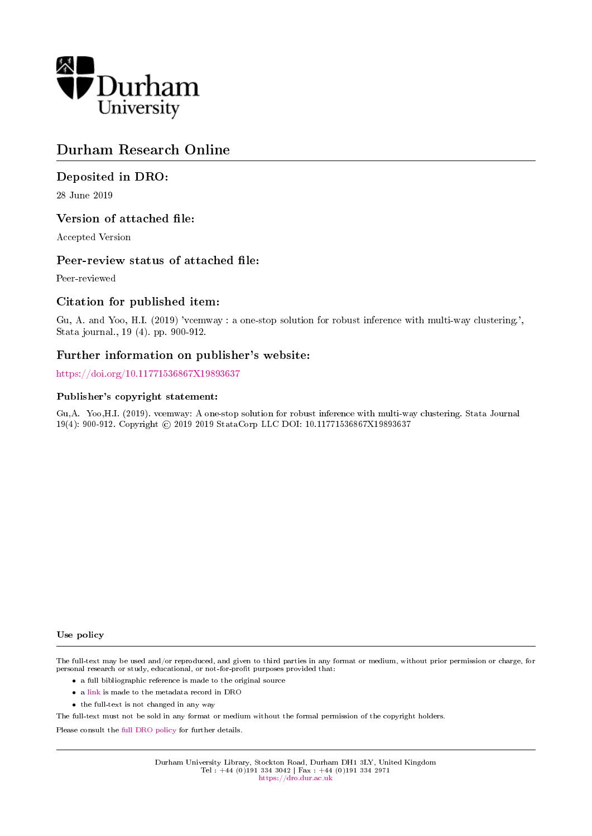

# Durham Research Online

### Deposited in DRO:

28 June 2019

### Version of attached file:

Accepted Version

#### Peer-review status of attached file:

Peer-reviewed

### Citation for published item:

Gu, A. and Yoo, H.I. (2019) 'vcemway : a one-stop solution for robust inference with multi-way clustering.', Stata journal., 19 (4). pp. 900-912.

### Further information on publisher's website:

<https://doi.org/10.11771536867X19893637>

#### Publisher's copyright statement:

Gu,A. Yoo,H.I. (2019). vcemway: A one-stop solution for robust inference with multi-way clustering. Stata Journal 19(4): 900-912. Copyright © 2019 2019 StataCorp LLC DOI: 10.11771536867X19893637

#### Use policy

The full-text may be used and/or reproduced, and given to third parties in any format or medium, without prior permission or charge, for personal research or study, educational, or not-for-profit purposes provided that:

- a full bibliographic reference is made to the original source
- a [link](http://dro.dur.ac.uk/28573/) is made to the metadata record in DRO
- the full-text is not changed in any way

The full-text must not be sold in any format or medium without the formal permission of the copyright holders.

Please consult the [full DRO policy](https://dro.dur.ac.uk/policies/usepolicy.pdf) for further details.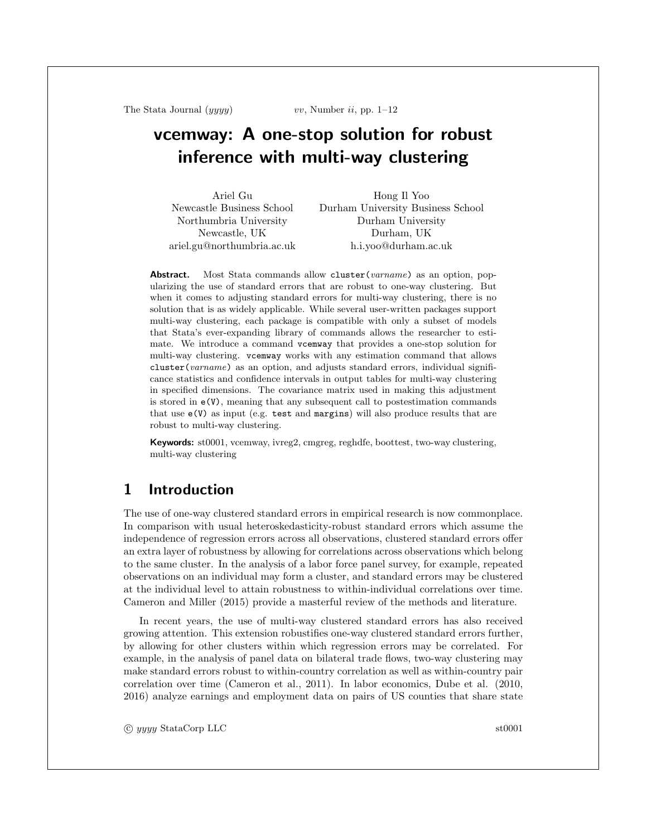The Stata Journal  $(yyyy)$  vv, Number ii, pp. 1–12

# vcemway: A one-stop solution for robust inference with multi-way clustering

Ariel Gu Newcastle Business School Northumbria University Newcastle, UK ariel.gu@northumbria.ac.uk Hong Il Yoo Durham University Business School Durham University Durham, UK h.i.yoo@durham.ac.uk

Abstract. Most Stata commands allow cluster(varname) as an option, popularizing the use of standard errors that are robust to one-way clustering. But when it comes to adjusting standard errors for multi-way clustering, there is no solution that is as widely applicable. While several user-written packages support multi-way clustering, each package is compatible with only a subset of models that Stata's ever-expanding library of commands allows the researcher to estimate. We introduce a command vcemway that provides a one-stop solution for multi-way clustering. vcemway works with any estimation command that allows cluster(varname) as an option, and adjusts standard errors, individual significance statistics and confidence intervals in output tables for multi-way clustering in specified dimensions. The covariance matrix used in making this adjustment is stored in  $e(V)$ , meaning that any subsequent call to postestimation commands that use e(V) as input (e.g. test and margins) will also produce results that are robust to multi-way clustering.

Keywords: st0001, vcemway, ivreg2, cmgreg, reghdfe, boottest, two-way clustering, multi-way clustering

# 1 Introduction

The use of one-way clustered standard errors in empirical research is now commonplace. In comparison with usual heteroskedasticity-robust standard errors which assume the independence of regression errors across all observations, clustered standard errors offer an extra layer of robustness by allowing for correlations across observations which belong to the same cluster. In the analysis of a labor force panel survey, for example, repeated observations on an individual may form a cluster, and standard errors may be clustered at the individual level to attain robustness to within-individual correlations over time. Cameron and Miller (2015) provide a masterful review of the methods and literature.

In recent years, the use of multi-way clustered standard errors has also received growing attention. This extension robustifies one-way clustered standard errors further, by allowing for other clusters within which regression errors may be correlated. For example, in the analysis of panel data on bilateral trade flows, two-way clustering may make standard errors robust to within-country correlation as well as within-country pair correlation over time (Cameron et al., 2011). In labor economics, Dube et al. (2010, 2016) analyze earnings and employment data on pairs of US counties that share state

c yyyy StataCorp LLC st0001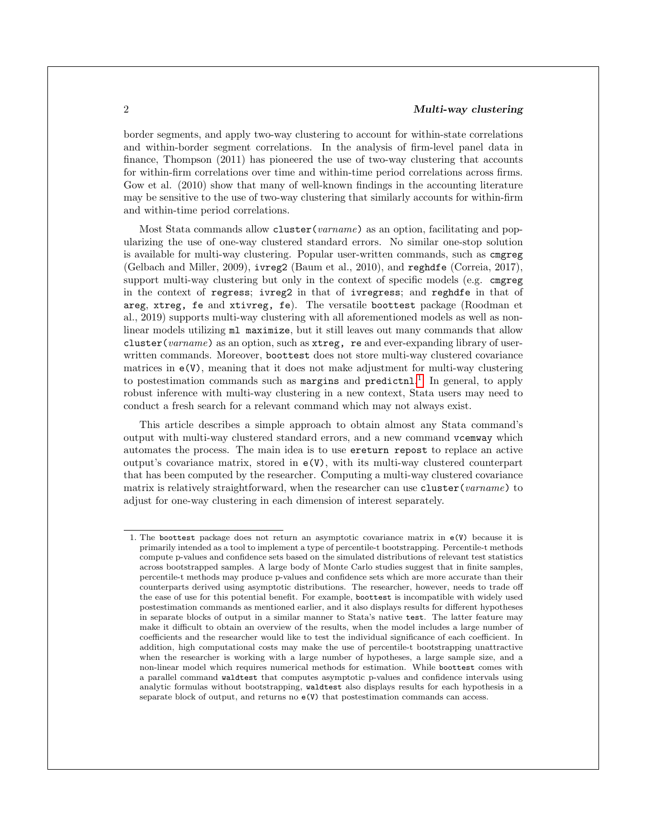border segments, and apply two-way clustering to account for within-state correlations and within-border segment correlations. In the analysis of firm-level panel data in finance, Thompson (2011) has pioneered the use of two-way clustering that accounts for within-firm correlations over time and within-time period correlations across firms. Gow et al. (2010) show that many of well-known findings in the accounting literature may be sensitive to the use of two-way clustering that similarly accounts for within-firm and within-time period correlations.

Most Stata commands allow cluster(varname) as an option, facilitating and popularizing the use of one-way clustered standard errors. No similar one-stop solution is available for multi-way clustering. Popular user-written commands, such as cmgreg (Gelbach and Miller, 2009), ivreg2 (Baum et al., 2010), and reghdfe (Correia, 2017), support multi-way clustering but only in the context of specific models (e.g. cmgreg in the context of regress; ivreg2 in that of ivregress; and reghdfe in that of areg, xtreg, fe and xtivreg, fe). The versatile boottest package (Roodman et al., 2019) supports multi-way clustering with all aforementioned models as well as nonlinear models utilizing ml maximize, but it still leaves out many commands that allow cluster(varname) as an option, such as xtreg, re and ever-expanding library of userwritten commands. Moreover, boottest does not store multi-way clustered covariance matrices in  $e(V)$ , meaning that it does not make adjustment for multi-way clustering to postestimation commands such as margins and predictnl.<sup>[1](#page-2-0)</sup> In general, to apply robust inference with multi-way clustering in a new context, Stata users may need to conduct a fresh search for a relevant command which may not always exist.

This article describes a simple approach to obtain almost any Stata command's output with multi-way clustered standard errors, and a new command vcemway which automates the process. The main idea is to use ereturn repost to replace an active output's covariance matrix, stored in e(V), with its multi-way clustered counterpart that has been computed by the researcher. Computing a multi-way clustered covariance matrix is relatively straightforward, when the researcher can use cluster (varname) to adjust for one-way clustering in each dimension of interest separately.

<span id="page-2-0"></span><sup>1.</sup> The boottest package does not return an asymptotic covariance matrix in e(V) because it is primarily intended as a tool to implement a type of percentile-t bootstrapping. Percentile-t methods compute p-values and confidence sets based on the simulated distributions of relevant test statistics across bootstrapped samples. A large body of Monte Carlo studies suggest that in finite samples, percentile-t methods may produce p-values and confidence sets which are more accurate than their counterparts derived using asymptotic distributions. The researcher, however, needs to trade off the ease of use for this potential benefit. For example, boottest is incompatible with widely used postestimation commands as mentioned earlier, and it also displays results for different hypotheses in separate blocks of output in a similar manner to Stata's native test. The latter feature may make it difficult to obtain an overview of the results, when the model includes a large number of coefficients and the researcher would like to test the individual significance of each coefficient. In addition, high computational costs may make the use of percentile-t bootstrapping unattractive when the researcher is working with a large number of hypotheses, a large sample size, and a non-linear model which requires numerical methods for estimation. While boottest comes with a parallel command waldtest that computes asymptotic p-values and confidence intervals using analytic formulas without bootstrapping, waldtest also displays results for each hypothesis in a separate block of output, and returns no e(V) that postestimation commands can access.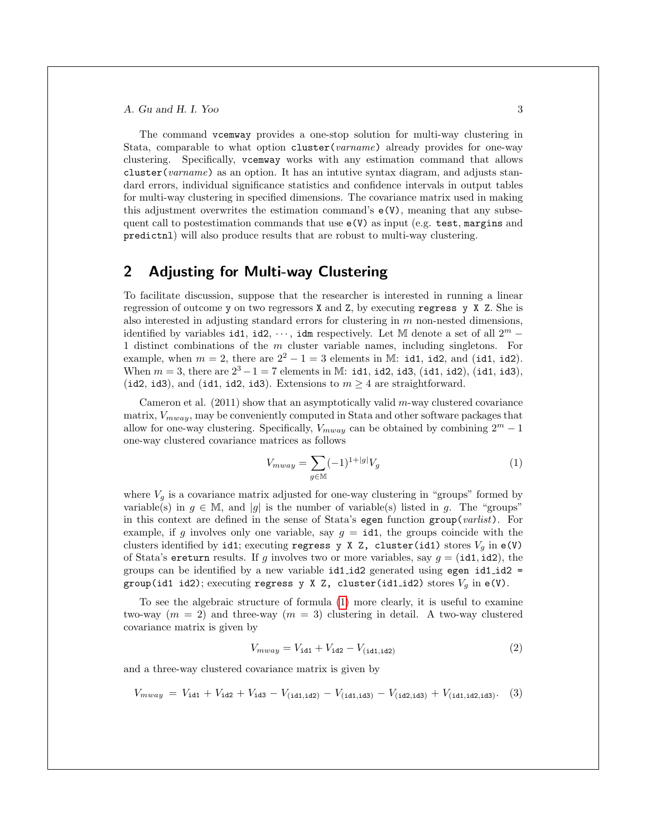The command vcemway provides a one-stop solution for multi-way clustering in Stata, comparable to what option cluster(varname) already provides for one-way clustering. Specifically, vcemway works with any estimation command that allows cluster(varname) as an option. It has an intutive syntax diagram, and adjusts standard errors, individual significance statistics and confidence intervals in output tables for multi-way clustering in specified dimensions. The covariance matrix used in making this adjustment overwrites the estimation command's  $e(V)$ , meaning that any subsequent call to postestimation commands that use  $e(V)$  as input (e.g. test, margins and predictnl) will also produce results that are robust to multi-way clustering.

### 2 Adjusting for Multi-way Clustering

To facilitate discussion, suppose that the researcher is interested in running a linear regression of outcome y on two regressors X and Z, by executing regress y X Z. She is also interested in adjusting standard errors for clustering in  $m$  non-nested dimensions, identified by variables id1, id2,  $\cdots$ , idm respectively. Let M denote a set of all  $2^m$  – 1 distinct combinations of the m cluster variable names, including singletons. For example, when  $m = 2$ , there are  $2^2 - 1 = 3$  elements in M: id1, id2, and (id1, id2). When  $m = 3$ , there are  $2^3 - 1 = 7$  elements in M: id1, id2, id3, (id1, id2), (id1, id3), (id2, id3), and (id1, id2, id3). Extensions to  $m \geq 4$  are straightforward.

Cameron et al.  $(2011)$  show that an asymptotically valid m-way clustered covariance matrix,  $V_{mway}$ , may be conveniently computed in Stata and other software packages that allow for one-way clustering. Specifically,  $V_{mway}$  can be obtained by combining  $2^m - 1$ one-way clustered covariance matrices as follows

<span id="page-3-0"></span>
$$
V_{mway} = \sum_{g \in \mathbb{M}} (-1)^{1+|g|} V_g \tag{1}
$$

where  $V_q$  is a covariance matrix adjusted for one-way clustering in "groups" formed by variable(s) in  $g \in \mathbb{M}$ , and |g| is the number of variable(s) listed in g. The "groups" in this context are defined in the sense of Stata's egen function group(*varlist*). For example, if g involves only one variable, say  $g = id1$ , the groups coincide with the clusters identified by id1; executing regress y X Z, cluster(id1) stores  $V_q$  in e(V) of Stata's ereturn results. If g involves two or more variables, say  $g = (\text{id1}, \text{id2})$ , the groups can be identified by a new variable  $id1_id2$  generated using egen  $id1_id2$  = group(id1 id2); executing regress y X Z, cluster(id1\_id2) stores  $V_g$  in  $e(V)$ .

To see the algebraic structure of formula [\(1\)](#page-3-0) more clearly, it is useful to examine two-way  $(m = 2)$  and three-way  $(m = 3)$  clustering in detail. A two-way clustered covariance matrix is given by

<span id="page-3-1"></span>
$$
V_{mway} = V_{\text{id1}} + V_{\text{id2}} - V_{(\text{id1}, \text{id2})} \tag{2}
$$

and a three-way clustered covariance matrix is given by

$$
V_{mway} = V_{\text{id1}} + V_{\text{id2}} + V_{\text{id3}} - V_{(\text{id1}, \text{id2})} - V_{(\text{id1}, \text{id3})} - V_{(\text{id2}, \text{id3})} + V_{(\text{id1}, \text{id2}, \text{id3})}. \tag{3}
$$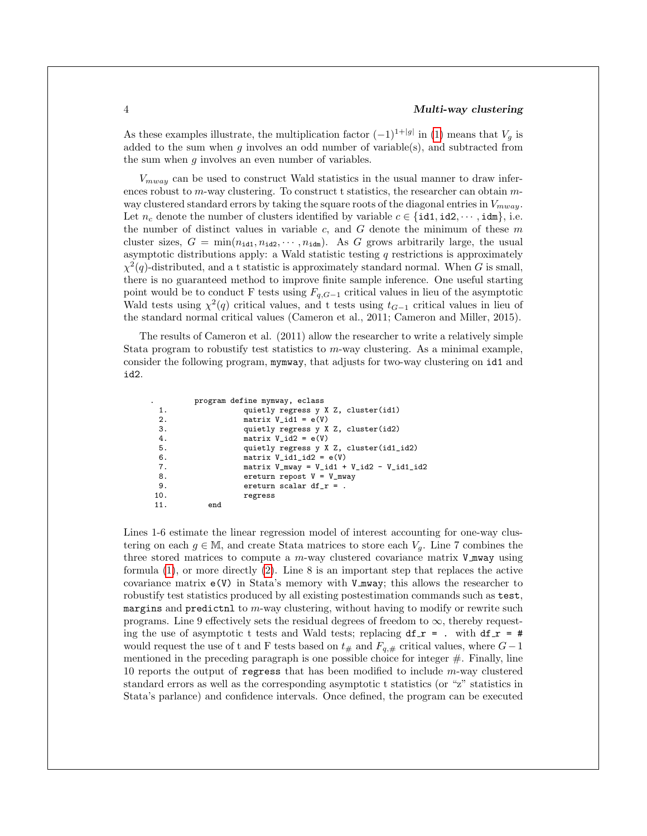As these examples illustrate, the multiplication factor  $(-1)^{1+|g|}$  in [\(1\)](#page-3-0) means that  $V_g$  is added to the sum when  $q$  involves an odd number of variable(s), and subtracted from the sum when  $q$  involves an even number of variables.

 $V_{mway}$  can be used to construct Wald statistics in the usual manner to draw inferences robust to m-way clustering. To construct t statistics, the researcher can obtain  $m$ way clustered standard errors by taking the square roots of the diagonal entries in  $V_{mu\alpha}$ . Let  $n_c$  denote the number of clusters identified by variable  $c \in \{\texttt{id1}, \texttt{id2}, \cdots, \texttt{idm}\}, \text{ i.e.}$ the number of distinct values in variable  $c$ , and  $G$  denote the minimum of these  $m$ cluster sizes,  $G = \min(n_{id1}, n_{id2}, \dots, n_{idm})$ . As G grows arbitrarily large, the usual asymptotic distributions apply: a Wald statistic testing  $q$  restrictions is approximately  $\chi^2(q)$ -distributed, and a t statistic is approximately standard normal. When G is small, there is no guaranteed method to improve finite sample inference. One useful starting point would be to conduct F tests using  $F_{q,G-1}$  critical values in lieu of the asymptotic Wald tests using  $\chi^2(q)$  critical values, and t tests using  $t_{G-1}$  critical values in lieu of the standard normal critical values (Cameron et al., 2011; Cameron and Miller, 2015).

The results of Cameron et al. (2011) allow the researcher to write a relatively simple Stata program to robustify test statistics to m-way clustering. As a minimal example, consider the following program, mymway, that adjusts for two-way clustering on id1 and id2.

| $\cdot$ |     | program define mymway, eclass                                                   |
|---------|-----|---------------------------------------------------------------------------------|
| 1.      |     | quietly regress y X Z, cluster(id1)                                             |
| 2.      |     | matrix $V_id1 = e(V)$                                                           |
| 3.      |     | quietly regress y X Z, cluster(id2)                                             |
| 4.      |     | matrix $V_id2 = e(V)$                                                           |
| 5.      |     | quietly regress y X Z, cluster(id1_id2)                                         |
| 6.      |     | matrix $V_id1_id2 = e(V)$                                                       |
| 7.      |     | matrix $V_{\text{mway}} = V_{\text{id1}} + V_{\text{id2}} - V_{\text{id1_id2}}$ |
| 8.      |     | ereturn repost $V = V_m$ way                                                    |
| 9.      |     | ereturn scalar $df_r =$ .                                                       |
| 10.     |     | regress                                                                         |
| 11.     | end |                                                                                 |

Lines 1-6 estimate the linear regression model of interest accounting for one-way clustering on each  $g \in \mathbb{M}$ , and create Stata matrices to store each  $V_g$ . Line 7 combines the three stored matrices to compute a  $m$ -way clustered covariance matrix V mway using formula [\(1\)](#page-3-0), or more directly [\(2\)](#page-3-1). Line 8 is an important step that replaces the active covariance matrix  $e(V)$  in Stata's memory with  $V_m$  mway; this allows the researcher to robustify test statistics produced by all existing postestimation commands such as test, margins and predictnl to m-way clustering, without having to modify or rewrite such programs. Line 9 effectively sets the residual degrees of freedom to  $\infty$ , thereby requesting the use of asymptotic t tests and Wald tests; replacing  $df_r = ...$  with  $df_r = #$ would request the use of t and F tests based on  $t_{#}$  and  $F_{a,#}$  critical values, where  $G-1$ mentioned in the preceding paragraph is one possible choice for integer  $#$ . Finally, line 10 reports the output of regress that has been modified to include  $m$ -way clustered standard errors as well as the corresponding asymptotic t statistics (or "z" statistics in Stata's parlance) and confidence intervals. Once defined, the program can be executed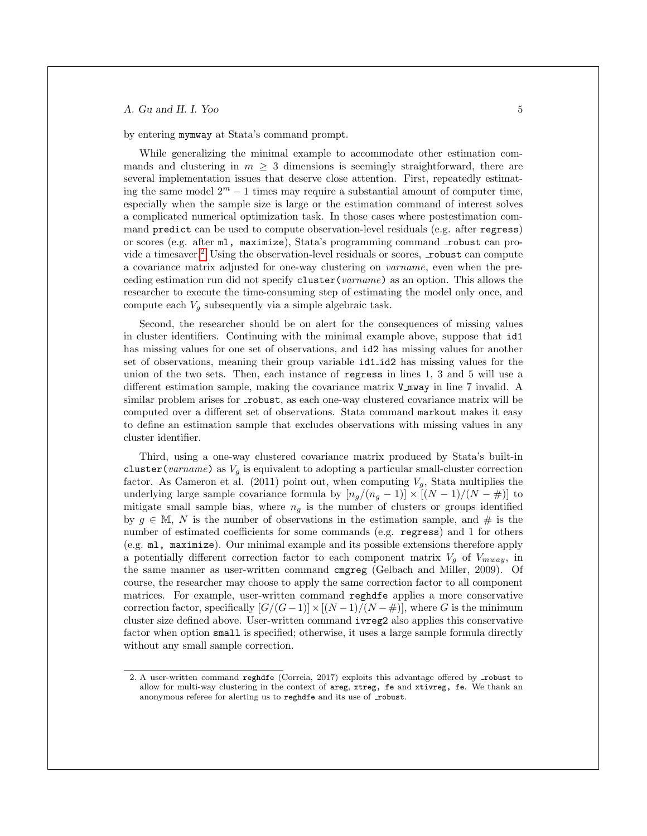by entering mymway at Stata's command prompt.

While generalizing the minimal example to accommodate other estimation commands and clustering in  $m \geq 3$  dimensions is seemingly straightforward, there are several implementation issues that deserve close attention. First, repeatedly estimating the same model  $2^m - 1$  times may require a substantial amount of computer time, especially when the sample size is large or the estimation command of interest solves a complicated numerical optimization task. In those cases where postestimation command predict can be used to compute observation-level residuals (e.g. after regress) or scores (e.g. after ml, maximize), Stata's programming command robust can pro-vide a timesaver.<sup>[2](#page-5-0)</sup> Using the observation-level residuals or scores,  $\pm$ robust can compute a covariance matrix adjusted for one-way clustering on varname, even when the preceding estimation run did not specify cluster(varname) as an option. This allows the researcher to execute the time-consuming step of estimating the model only once, and compute each  $V_g$  subsequently via a simple algebraic task.

Second, the researcher should be on alert for the consequences of missing values in cluster identifiers. Continuing with the minimal example above, suppose that id1 has missing values for one set of observations, and id2 has missing values for another set of observations, meaning their group variable id1 id2 has missing values for the union of the two sets. Then, each instance of regress in lines 1, 3 and 5 will use a different estimation sample, making the covariance matrix V mway in line 7 invalid. A similar problem arises for robust, as each one-way clustered covariance matrix will be computed over a different set of observations. Stata command markout makes it easy to define an estimation sample that excludes observations with missing values in any cluster identifier.

Third, using a one-way clustered covariance matrix produced by Stata's built-in cluster(varname) as  $V_g$  is equivalent to adopting a particular small-cluster correction factor. As Cameron et al. (2011) point out, when computing  $V_g$ , Stata multiplies the underlying large sample covariance formula by  $[n_g/(n_g-1)] \times [(N-1)/(N-\#)]$  to mitigate small sample bias, where  $n<sub>g</sub>$  is the number of clusters or groups identified by  $g \in \mathbb{M}$ , N is the number of observations in the estimation sample, and # is the number of estimated coefficients for some commands (e.g. regress) and 1 for others (e.g. ml, maximize). Our minimal example and its possible extensions therefore apply a potentially different correction factor to each component matrix  $V_q$  of  $V_{mway}$ , in the same manner as user-written command cmgreg (Gelbach and Miller, 2009). Of course, the researcher may choose to apply the same correction factor to all component matrices. For example, user-written command reghdfe applies a more conservative correction factor, specifically  $[G/(G-1)] \times [(N-1)/(N - \#)]$ , where G is the minimum cluster size defined above. User-written command ivreg2 also applies this conservative factor when option small is specified; otherwise, it uses a large sample formula directly without any small sample correction.

<span id="page-5-0"></span><sup>2.</sup> A user-written command reghdfe (Correia, 2017) exploits this advantage offered by robust to allow for multi-way clustering in the context of areg, xtreg, fe and xtivreg, fe. We thank an anonymous referee for alerting us to reghdfe and its use of \_robust.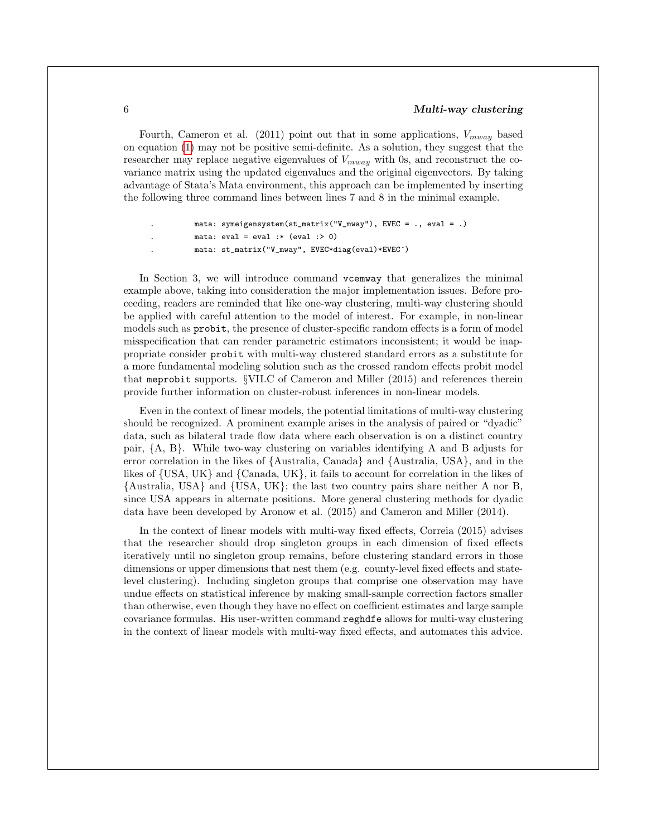Fourth, Cameron et al. (2011) point out that in some applications,  $V_{mwa}$  based on equation [\(1\)](#page-3-0) may not be positive semi-definite. As a solution, they suggest that the researcher may replace negative eigenvalues of  $V_{mway}$  with 0s, and reconstruct the covariance matrix using the updated eigenvalues and the original eigenvectors. By taking advantage of Stata's Mata environment, this approach can be implemented by inserting the following three command lines between lines 7 and 8 in the minimal example.

```
. mata: symeigensystem(st_matrix("V_mway"), EVEC = ., eval = .)
```

```
mata: eval = eval : * (eval : > 0)
```

```
. mata: st_matrix("V_mway", EVEC*diag(eval)*EVEC´)
```
In Section 3, we will introduce command vcemway that generalizes the minimal example above, taking into consideration the major implementation issues. Before proceeding, readers are reminded that like one-way clustering, multi-way clustering should be applied with careful attention to the model of interest. For example, in non-linear models such as probit, the presence of cluster-specific random effects is a form of model misspecification that can render parametric estimators inconsistent; it would be inappropriate consider probit with multi-way clustered standard errors as a substitute for a more fundamental modeling solution such as the crossed random effects probit model that meprobit supports. §VII.C of Cameron and Miller (2015) and references therein provide further information on cluster-robust inferences in non-linear models.

Even in the context of linear models, the potential limitations of multi-way clustering should be recognized. A prominent example arises in the analysis of paired or "dyadic" data, such as bilateral trade flow data where each observation is on a distinct country pair, {A, B}. While two-way clustering on variables identifying A and B adjusts for error correlation in the likes of {Australia, Canada} and {Australia, USA}, and in the likes of {USA, UK} and {Canada, UK}, it fails to account for correlation in the likes of {Australia, USA} and {USA, UK}; the last two country pairs share neither A nor B, since USA appears in alternate positions. More general clustering methods for dyadic data have been developed by Aronow et al. (2015) and Cameron and Miller (2014).

In the context of linear models with multi-way fixed effects, Correia (2015) advises that the researcher should drop singleton groups in each dimension of fixed effects iteratively until no singleton group remains, before clustering standard errors in those dimensions or upper dimensions that nest them (e.g. county-level fixed effects and statelevel clustering). Including singleton groups that comprise one observation may have undue effects on statistical inference by making small-sample correction factors smaller than otherwise, even though they have no effect on coefficient estimates and large sample covariance formulas. His user-written command reghdfe allows for multi-way clustering in the context of linear models with multi-way fixed effects, and automates this advice.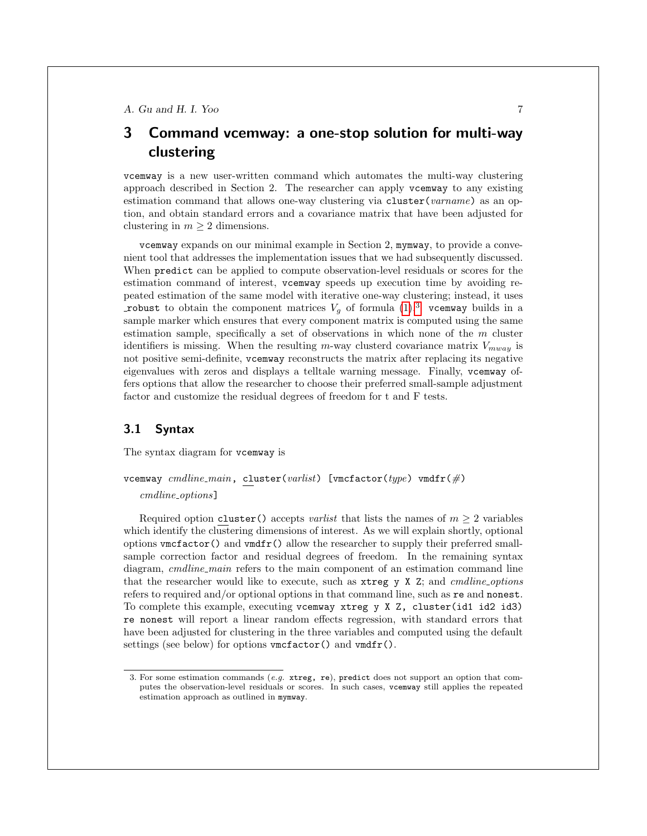## 3 Command vcemway: a one-stop solution for multi-way clustering

vcemway is a new user-written command which automates the multi-way clustering approach described in Section 2. The researcher can apply vcemway to any existing estimation command that allows one-way clustering via cluster(varname) as an option, and obtain standard errors and a covariance matrix that have been adjusted for clustering in  $m \geq 2$  dimensions.

vcemway expands on our minimal example in Section 2, mymway, to provide a convenient tool that addresses the implementation issues that we had subsequently discussed. When predict can be applied to compute observation-level residuals or scores for the estimation command of interest, vcemway speeds up execution time by avoiding repeated estimation of the same model with iterative one-way clustering; instead, it uses robust to obtain the component matrices  $V_q$  of formula  $(1)^3$  $(1)^3$  $(1)^3$  vcemway builds in a sample marker which ensures that every component matrix is computed using the same estimation sample, specifically a set of observations in which none of the m cluster identifiers is missing. When the resulting m-way clusterd covariance matrix  $V_{mwa}$  is not positive semi-definite, vcemway reconstructs the matrix after replacing its negative eigenvalues with zeros and displays a telltale warning message. Finally, vcemway offers options that allow the researcher to choose their preferred small-sample adjustment factor and customize the residual degrees of freedom for t and F tests.

#### 3.1 Syntax

The syntax diagram for vcemway is

vcemway cmdline main, cluster(varlist) [vmcfactor(type) vmdfr( $\#$ )

cmdline options]

Required option cluster() accepts variat that lists the names of  $m > 2$  variables which identify the clustering dimensions of interest. As we will explain shortly, optional options vmcfactor() and vmdfr() allow the researcher to supply their preferred smallsample correction factor and residual degrees of freedom. In the remaining syntax diagram, *cmdline main* refers to the main component of an estimation command line that the researcher would like to execute, such as  $x$ treg y X Z; and *cmdline options* refers to required and/or optional options in that command line, such as re and nonest. To complete this example, executing vcemway xtreg y X Z, cluster(id1 id2 id3) re nonest will report a linear random effects regression, with standard errors that have been adjusted for clustering in the three variables and computed using the default settings (see below) for options vmcfactor() and vmdfr().

<span id="page-7-0"></span><sup>3.</sup> For some estimation commands (e.g. xtreg, re), predict does not support an option that computes the observation-level residuals or scores. In such cases, vcemway still applies the repeated estimation approach as outlined in mymway.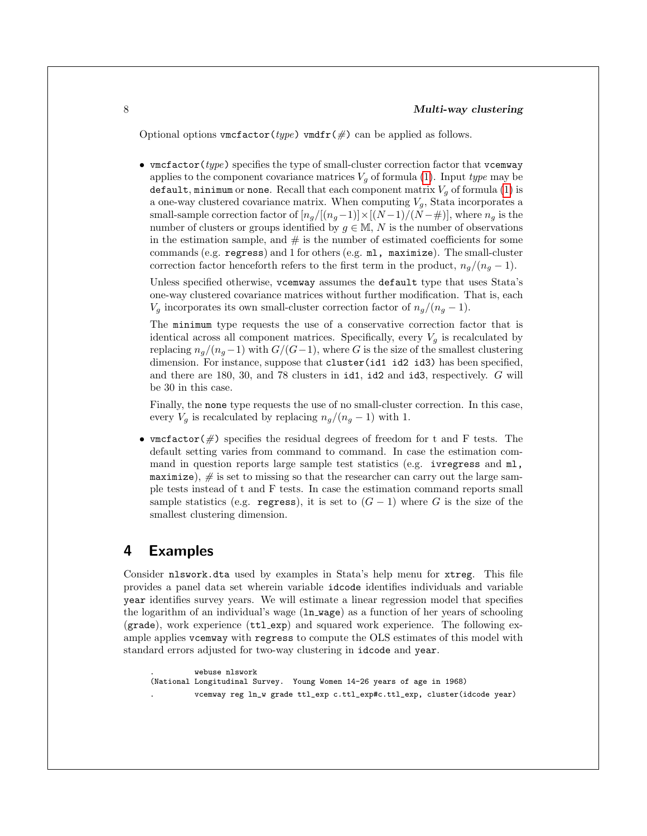Optional options vmcfactor(type) vmdfr( $\#$ ) can be applied as follows.

• vmcfactor (type) specifies the type of small-cluster correction factor that vcemway applies to the component covariance matrices  $V<sub>g</sub>$  of formula [\(1\)](#page-3-0). Input type may be default, minimum or none. Recall that each component matrix  $V_g$  of formula [\(1\)](#page-3-0) is a one-way clustered covariance matrix. When computing  $V_g$ , Stata incorporates a small-sample correction factor of  $[n_g/[(n_g-1)] \times [(N-1)/(N-\#)]$ , where  $n_g$  is the number of clusters or groups identified by  $g \in M$ , N is the number of observations in the estimation sample, and  $\#$  is the number of estimated coefficients for some commands (e.g. regress) and 1 for others (e.g. ml, maximize). The small-cluster correction factor henceforth refers to the first term in the product,  $n_q/(n_q-1)$ .

Unless specified otherwise, vcemway assumes the default type that uses Stata's one-way clustered covariance matrices without further modification. That is, each  $V_g$  incorporates its own small-cluster correction factor of  $n_g/(n_g-1)$ .

The minimum type requests the use of a conservative correction factor that is identical across all component matrices. Specifically, every  $V_q$  is recalculated by replacing  $n_g/(n_g-1)$  with  $G/(G-1)$ , where G is the size of the smallest clustering dimension. For instance, suppose that cluster(id1 id2 id3) has been specified, and there are 180, 30, and 78 clusters in id1, id2 and id3, respectively. G will be 30 in this case.

Finally, the none type requests the use of no small-cluster correction. In this case, every  $V_g$  is recalculated by replacing  $n_g/(n_g-1)$  with 1.

• vmcfactor( $\#$ ) specifies the residual degrees of freedom for t and F tests. The default setting varies from command to command. In case the estimation command in question reports large sample test statistics (e.g. ivregress and ml, maximize),  $\#$  is set to missing so that the researcher can carry out the large sample tests instead of t and F tests. In case the estimation command reports small sample statistics (e.g. regress), it is set to  $(G - 1)$  where G is the size of the smallest clustering dimension.

### 4 Examples

Consider nlswork.dta used by examples in Stata's help menu for xtreg. This file provides a panel data set wherein variable idcode identifies individuals and variable year identifies survey years. We will estimate a linear regression model that specifies the logarithm of an individual's wage (ln wage) as a function of her years of schooling (grade), work experience (ttl exp) and squared work experience. The following example applies vcemway with regress to compute the OLS estimates of this model with standard errors adjusted for two-way clustering in idcode and year.

```
. webuse nlswork
(National Longitudinal Survey. Young Women 14-26 years of age in 1968)
          . vcemway reg ln_w grade ttl_exp c.ttl_exp#c.ttl_exp, cluster(idcode year)
```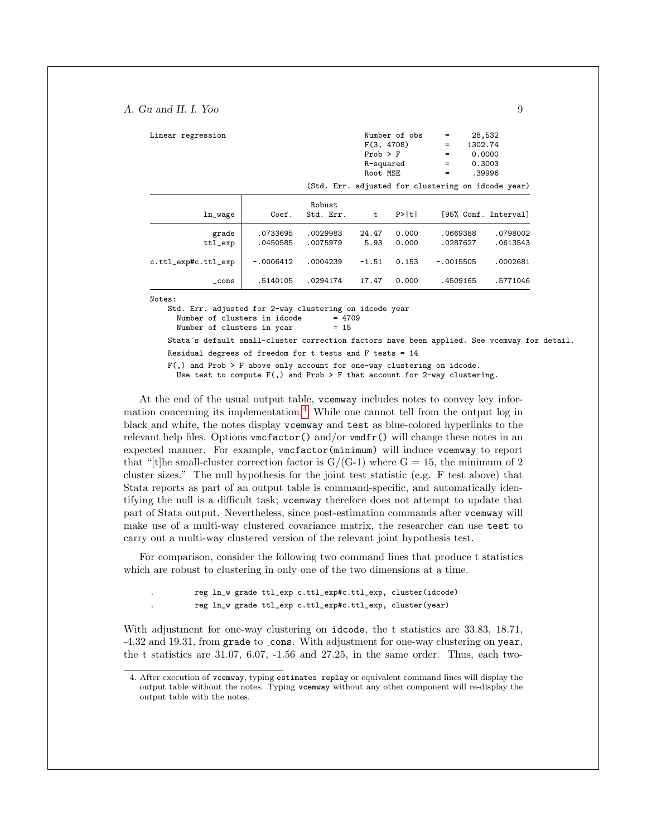| Linear regression      |                      |                      | F(3, 4708)<br>$Prob$ > $F$<br>R-squared<br>Root MSE | Number of obs  | 28,532<br>$=$<br>1302.74<br>=<br>0.0000<br>$=$<br>0.3003<br>$=$<br>$=$ | .39996               |
|------------------------|----------------------|----------------------|-----------------------------------------------------|----------------|------------------------------------------------------------------------|----------------------|
|                        |                      |                      |                                                     |                | (Std. Err. adjusted for clustering on idcode year)                     |                      |
| ln_wage                | Coef.                | Robust<br>Std. Err.  | t                                                   | P>  t          | [95% Conf. Interval]                                                   |                      |
| grade<br>$ttl$ _ $exp$ | .0733695<br>.0450585 | .0029983<br>.0075979 | 24.47<br>5.93                                       | 0.000<br>0.000 | .0669388<br>.0287627                                                   | .0798002<br>.0613543 |
| c.ttl_exp#c.ttl_exp    | $-.0006412$          | .0004239             | $-1.51$                                             | 0.153          | $-.0015505$                                                            | .0002681             |
| $\_cons$               | .5140105             | .0294174             | 17.47                                               | 0.000          | .4509165                                                               | .5771046             |

Notes:

Std. Err. adjusted for 2-way clustering on idcode year

Number of clusters in idcode =  $47$ <br>Number of clusters in year =  $15$ Number of clusters in year

Stata´s default small-cluster correction factors have been applied. See vcemway for detail.

Residual degrees of freedom for t tests and  $F$  tests = 14

F(,) and Prob > F above only account for one-way clustering on idcode. Use test to compute  $F($ , and Prob > F that account for 2-way clustering.

At the end of the usual output table, vcemway includes notes to convey key information concerning its implementation.[4](#page-9-0) While one cannot tell from the output log in black and white, the notes display vcemway and test as blue-colored hyperlinks to the relevant help files. Options  $\text{vmctator}()$  and/or  $\text{vmdfr}()$  will change these notes in an expected manner. For example, vmcfactor(minimum) will induce vcemway to report that "[t]he small-cluster correction factor is  $G/(G-1)$  where  $G = 15$ , the minimum of 2 cluster sizes." The null hypothesis for the joint test statistic (e.g. F test above) that Stata reports as part of an output table is command-specific, and automatically identifying the null is a difficult task; vcemway therefore does not attempt to update that part of Stata output. Nevertheless, since post-estimation commands after vcemway will make use of a multi-way clustered covariance matrix, the researcher can use test to carry out a multi-way clustered version of the relevant joint hypothesis test.

For comparison, consider the following two command lines that produce t statistics which are robust to clustering in only one of the two dimensions at a time.

. reg ln\_w grade ttl\_exp c.ttl\_exp#c.ttl\_exp, cluster(idcode) . reg ln\_w grade ttl\_exp c.ttl\_exp#c.ttl\_exp, cluster(year)

With adjustment for one-way clustering on **idcode**, the t statistics are 33.83, 18.71, -4.32 and 19.31, from grade to cons. With adjustment for one-way clustering on year, the t statistics are 31.07, 6.07, -1.56 and 27.25, in the same order. Thus, each two-

<span id="page-9-0"></span><sup>4.</sup> After execution of vcemway, typing estimates replay or equivalent command lines will display the output table without the notes. Typing vcemway without any other component will re-display the output table with the notes.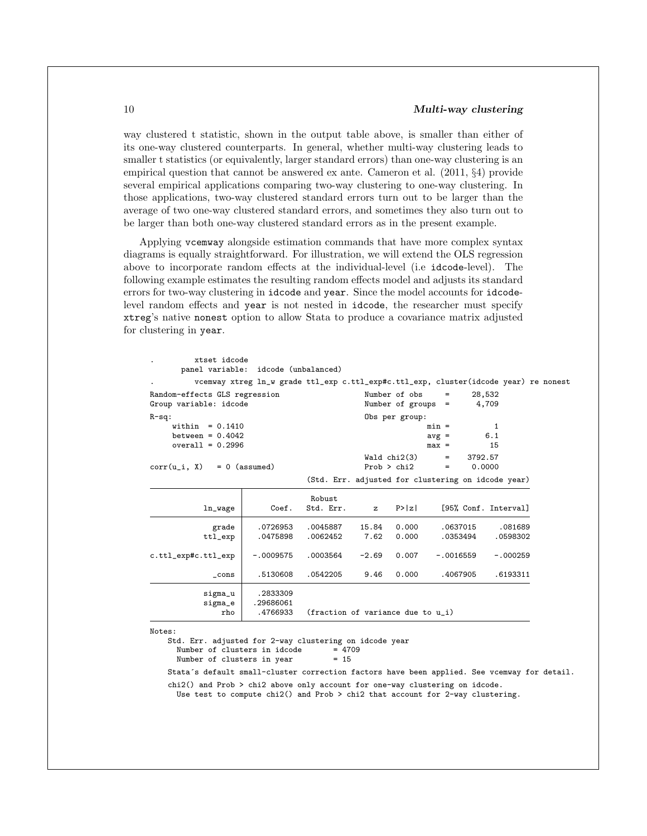#### 10 Multi-way clustering

way clustered t statistic, shown in the output table above, is smaller than either of its one-way clustered counterparts. In general, whether multi-way clustering leads to smaller t statistics (or equivalently, larger standard errors) than one-way clustering is an empirical question that cannot be answered ex ante. Cameron et al. (2011, §4) provide several empirical applications comparing two-way clustering to one-way clustering. In those applications, two-way clustered standard errors turn out to be larger than the average of two one-way clustered standard errors, and sometimes they also turn out to be larger than both one-way clustered standard errors as in the present example.

Applying vcemway alongside estimation commands that have more complex syntax diagrams is equally straightforward. For illustration, we will extend the OLS regression above to incorporate random effects at the individual-level (i.e idcode-level). The following example estimates the resulting random effects model and adjusts its standard errors for two-way clustering in idcode and year. Since the model accounts for idcodelevel random effects and year is not nested in idcode, the researcher must specify xtreg's native nonest option to allow Stata to produce a covariance matrix adjusted for clustering in year.

|                               | vcemway xtreg ln_w grade ttl_exp c.ttl_exp#c.ttl_exp, cluster(idcode year) re nonest |                                                    |              |                      |             |          |                      |
|-------------------------------|--------------------------------------------------------------------------------------|----------------------------------------------------|--------------|----------------------|-------------|----------|----------------------|
| Random-effects GLS regression |                                                                                      |                                                    |              | Number of obs        | $=$         | 28,532   |                      |
| Group variable: idcode        |                                                                                      |                                                    |              | Number of groups $=$ |             |          | 4,709                |
| $R-sq:$                       |                                                                                      |                                                    |              | Obs per group:       |             |          |                      |
| within $= 0.1410$             |                                                                                      | $min =$<br>$\mathbf{1}$                            |              |                      |             |          |                      |
| between = $0.4042$            |                                                                                      |                                                    |              | $avg =$              |             | 6.1      |                      |
| overall = $0.2996$            |                                                                                      |                                                    |              |                      | $max =$     |          | 15                   |
|                               |                                                                                      |                                                    |              | Wald chi2(3)         | $=$         | 3792.57  |                      |
| $corr(u_i, X) = 0$ (assumed)  |                                                                                      |                                                    | Prob > chi2  | $=$                  | 0.0000      |          |                      |
|                               |                                                                                      | (Std. Err. adjusted for clustering on idcode year) |              |                      |             |          |                      |
|                               |                                                                                      | Robust                                             |              |                      |             |          |                      |
| ln_wage                       | Coef.                                                                                | Std. Err.                                          | $\mathbf{z}$ | P >  z               |             |          | [95% Conf. Interval] |
| grade                         | .0726953                                                                             | .0045887                                           | 15.84        | 0.000                |             | .0637015 | .081689              |
| ttl_exp                       | .0475898                                                                             | .0062452                                           | 7.62         | 0.000                |             | .0353494 | .0598302             |
| c.ttl_exp#c.ttl_exp           | $-.0009575$                                                                          | .0003564                                           | $-2.69$      | 0.007                | $-.0016559$ |          | $-.000259$           |
| cons                          | .5130608                                                                             | .0542205                                           | 9.46         | 0.000                | .4067905    |          | .6193311             |
| sigma_u                       | .2833309                                                                             |                                                    |              |                      |             |          |                      |
|                               | .29686061                                                                            |                                                    |              |                      |             |          |                      |
| sigma_e                       | .4766933<br>(fraction of variance due to $u_i$ )<br>rho                              |                                                    |              |                      |             |          |                      |

Number of clusters in year = 15

Stata´s default small-cluster correction factors have been applied. See vcemway for detail.

chi2() and Prob > chi2 above only account for one-way clustering on idcode.

Use test to compute chi2() and Prob > chi2 that account for 2-way clustering.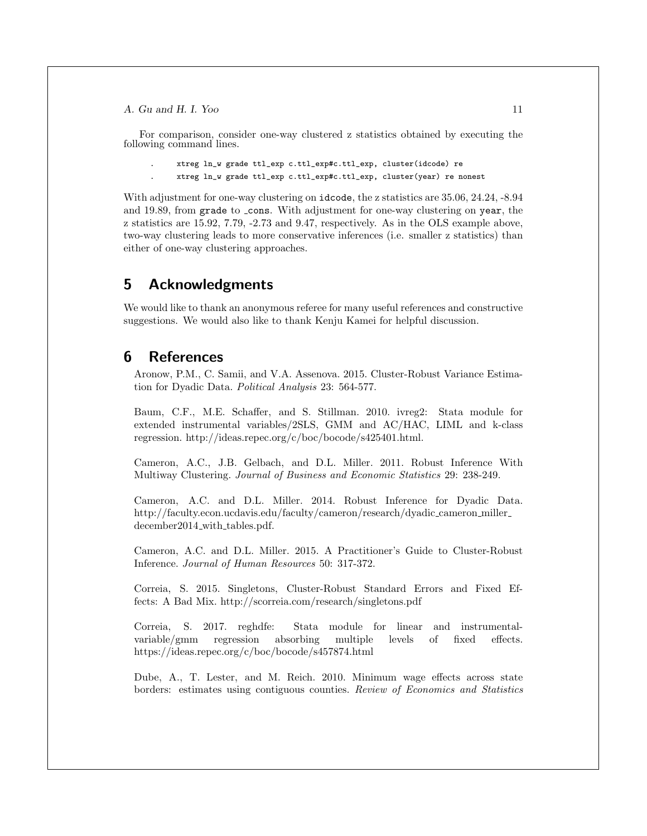For comparison, consider one-way clustered z statistics obtained by executing the following command lines.

```
. xtreg ln_w grade ttl_exp c.ttl_exp#c.ttl_exp, cluster(idcode) re
```
. xtreg ln\_w grade ttl\_exp c.ttl\_exp#c.ttl\_exp, cluster(year) re nonest

With adjustment for one-way clustering on idcode, the z statistics are 35.06, 24.24, -8.94 and 19.89, from grade to cons. With adjustment for one-way clustering on year, the z statistics are 15.92, 7.79, -2.73 and 9.47, respectively. As in the OLS example above, two-way clustering leads to more conservative inferences (i.e. smaller z statistics) than either of one-way clustering approaches.

### 5 Acknowledgments

We would like to thank an anonymous referee for many useful references and constructive suggestions. We would also like to thank Kenju Kamei for helpful discussion.

### 6 References

Aronow, P.M., C. Samii, and V.A. Assenova. 2015. Cluster-Robust Variance Estimation for Dyadic Data. Political Analysis 23: 564-577.

Baum, C.F., M.E. Schaffer, and S. Stillman. 2010. ivreg2: Stata module for extended instrumental variables/2SLS, GMM and AC/HAC, LIML and k-class regression. http://ideas.repec.org/c/boc/bocode/s425401.html.

Cameron, A.C., J.B. Gelbach, and D.L. Miller. 2011. Robust Inference With Multiway Clustering. Journal of Business and Economic Statistics 29: 238-249.

Cameron, A.C. and D.L. Miller. 2014. Robust Inference for Dyadic Data. http://faculty.econ.ucdavis.edu/faculty/cameron/research/dyadic cameron miller december2014\_with\_tables.pdf.

Cameron, A.C. and D.L. Miller. 2015. A Practitioner's Guide to Cluster-Robust Inference. Journal of Human Resources 50: 317-372.

Correia, S. 2015. Singletons, Cluster-Robust Standard Errors and Fixed Effects: A Bad Mix. http://scorreia.com/research/singletons.pdf

Correia, S. 2017. reghdfe: Stata module for linear and instrumentalvariable/gmm regression absorbing multiple levels of fixed effects. https://ideas.repec.org/c/boc/bocode/s457874.html

Dube, A., T. Lester, and M. Reich. 2010. Minimum wage effects across state borders: estimates using contiguous counties. Review of Economics and Statistics